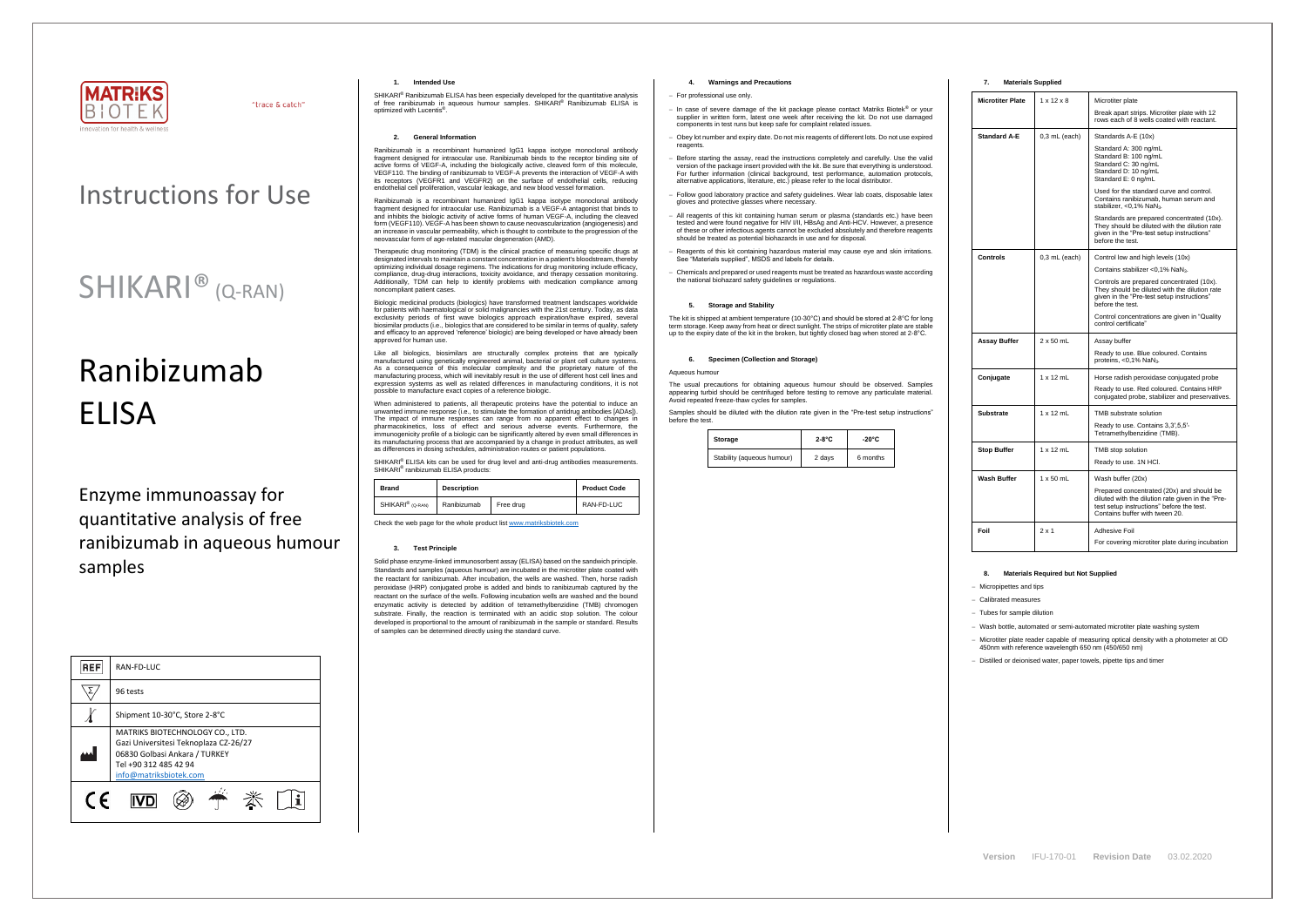

"trace & catch"

## Instructions for Use

## SHIKARI® (Q-RAN)

# Ranibizumab ELISA

Enzyme immunoassay for quantitative analysis of free ranibizumab in aqueous humour samples

| <b>REF</b> | RAN-FD-LUC                                                                                                                                                   |  |
|------------|--------------------------------------------------------------------------------------------------------------------------------------------------------------|--|
|            | 96 tests                                                                                                                                                     |  |
|            | Shipment 10-30°C, Store 2-8°C                                                                                                                                |  |
|            | MATRIKS BIOTECHNOLOGY CO., LTD.<br>Gazi Universitesi Teknoplaza CZ-26/27<br>06830 Golbasi Ankara / TURKEY<br>Tel +90 312 485 42 94<br>info@matriksbiotek.com |  |
| $\epsilon$ |                                                                                                                                                              |  |

SHIKARI® Ranibizumab ELISA has been especially developed for the quantitative analysis of free ranibizumab in aqueous humour samples. SHIKARI® Ranibizumab ELISA is optimized with Lucentis® .

#### **1. Intended Use**

#### **2. General Information**

Ranibizumab is a recombinant humanized IgG1 kappa isotype monoclonal antibody fragment designed for intraocular use. Ranibizumab binds to the receptor binding site of active forms of VEGF-A, including the biologically active, cleaved form of this molecule, VEGF110. The binding of ranibizumab to VEGF-A prevents the interaction of VEGF-A with its receptors (VEGFR1 and VEGFR2) on the surface of endothelial cells, reducing endothelial cell proliferation, vascular leakage, and new blood vessel formation.

Ranibizumab is a recombinant humanized IgG1 kappa isotype monoclonal antibody fragment designed for intraocular use. Ranibizumab is a VEGF-A antagonist that binds to and inhibits the biologic activity of active forms of human VEGF-A, including the cleaved form (VEGF110). VEGF-A has been shown to cause neovascularization (angiogenesis) and an increase in vascular permeability, which is thought to contribute to the progression of the neovascular form of age-related macular degeneration (AMD).

Therapeutic drug monitoring (TDM) is the clinical practice of measuring specific drugs at designated intervals to maintain a constant concentration in a patient's bloodstream, thereby optimizing individual dosage regimens. The indications for drug monitoring include efficacy, compliance, drug-drug interactions, toxicity avoidance, and therapy cessation monitoring. Additionally, TDM can help to identify problems with medication compliance among noncompliant patient cases.

Biologic medicinal products (biologics) have transformed treatment landscapes worldwide for patients with haematological or solid malignancies with the 21st century. Today, as data exclusivity periods of first wave biologics approach expiration/have expired, several biosimilar products (i.e., biologics that are considered to be similar in terms of quality, safety and efficacy to an approved 'reference' biologic) are being developed or have already been approved for human use.

Like all biologics, biosimilars are structurally complex proteins that are typically manufactured using genetically engineered animal, bacterial or plant cell culture systems. As a consequence of this molecular complexity and the proprietary nature of the manufacturing process, which will inevitably result in the use of different host cell lines and expression systems as well as related differences in manufacturing conditions, it is not possible to manufacture exact copies of a reference biologic.

When administered to patients, all therapeutic proteins have the potential to induce an unwanted immune response (i.e., to stimulate the formation of antidrug antibodies [ADAs]). The impact of immune responses can range from no apparent effect to changes in pharmacokinetics, loss of effect and serious adverse events. Furthermore, the immunogenicity profile of a biologic can be significantly altered by even small differences in its manufacturing process that are accompanied by a change in product attributes, as well as differences in dosing schedules, administration routes or patient populations.

SHIKARI<sup>®</sup> ELISA kits can be used for drug level and anti-drug antibodies measurements. SHIKARI<sup>®</sup> ranibizumab ELISA products:

| <b>Brand</b>                 | <b>Description</b> |           | <b>Product Code</b> |
|------------------------------|--------------------|-----------|---------------------|
| SHIKARI <sup>®</sup> (Q-RAN) | Ranibizumab        | Free drug | RAN-FD-LUC          |

Check the web page for the whole product lis[t www.matriksbiotek.com](http://www.matriksbiotek.com/)

#### **3. Test Principle**

Solid phase enzyme-linked immunosorbent assay (ELISA) based on the sandwich principle. Standards and samples (aqueous humour) are incubated in the microtiter plate coated with the reactant for ranibizumab. After incubation, the wells are washed. Then, horse radish peroxidase (HRP) conjugated probe is added and binds to ranibizumab captured by the reactant on the surface of the wells. Following incubation wells are washed and the bound enzymatic activity is detected by addition of tetramethylbenzidine (TMB) chromogen substrate. Finally, the reaction is terminated with an acidic stop solution. The colour developed is proportional to the amount of ranibizumab in the sample or standard. Results of samples can be determined directly using the standard curve.

### **4. Warnings and Precautions**

#### − For professional use only.

- − In case of severe damage of the kit package please contact Matriks Biotek® or your supplier in written form, latest one week after receiving the kit. Do not use damaged components in test runs but keep safe for complaint related issues.
- Obey lot number and expiry date. Do not mix reagents of different lots. Do not use expired reagents
- − Before starting the assay, read the instructions completely and carefully. Use the valid version of the package insert provided with the kit. Be sure that everything is understood. For further information (clinical background, test performance, automation protocols, alternative applications, literature, etc.) please refer to the local distributor.
- − Follow good laboratory practice and safety guidelines. Wear lab coats, disposable latex gloves and protective glasses where necessary.
- All reagents of this kit containing human serum or plasma (standards etc.) have been tested and were found negative for HIV I/II, HBsAg and Anti-HCV. However, a presence of these or other infectious agents cannot be excluded absolutely and therefore reagents should be treated as potential biohazards in use and for disposal.
- − Reagents of this kit containing hazardous material may cause eye and skin irritations. See "Materials supplied", MSDS and labels for details.
- − Chemicals and prepared or used reagents must be treated as hazardous waste according the national biohazard safety guidelines or regulations.

### **5. Storage and Stability**

The kit is shipped at ambient temperature (10-30°C) and should be stored at 2-8°C for long term storage. Keep away from heat or direct sunlight. The strips of microtiter plate are stable up to the expiry date of the kit in the broken, but tightly closed bag when stored at 2-8°C.

#### **6. Specimen (Collection and Storage)**

#### Aqueous humour

The usual precautions for obtaining aqueous humour should be observed. Samples appearing turbid should be centrifuged before testing to remove any particulate material. Avoid repeated freeze-thaw cycles for samples.

Samples should be diluted with the dilution rate given in the "Pre-test setup instructions" before the test.

| Storage                    | $2-8$ °C | $-20^{\circ}$ C |
|----------------------------|----------|-----------------|
| Stability (aqueous humour) | 2 days   | 6 months        |

#### **7. Materials Supplied**

| <b>Microtiter Plate</b> | $1 \times 12 \times 8$ | Microtiter plate<br>Break apart strips. Microtiter plate with 12<br>rows each of 8 wells coated with reactant.                                                                |
|-------------------------|------------------------|-------------------------------------------------------------------------------------------------------------------------------------------------------------------------------|
|                         |                        |                                                                                                                                                                               |
| <b>Standard A-E</b>     | $0.3$ mL (each)        | Standards A-E (10x)<br>Standard A: 300 ng/mL<br>Standard B: 100 ng/mL<br>Standard C: 30 ng/mL<br>Standard D: 10 ng/mL<br>Standard E: 0 ng/mL                                  |
|                         |                        | Used for the standard curve and control.<br>Contains ranibizumab, human serum and<br>stabilizer, < $0.1\%$ NaN <sub>3</sub> .                                                 |
|                         |                        | Standards are prepared concentrated (10x).<br>They should be diluted with the dilution rate<br>given in the "Pre-test setup instructions"<br>before the test.                 |
| Controls                | $0,3$ mL (each)        | Control low and high levels (10x)                                                                                                                                             |
|                         |                        | Contains stabilizer <0,1% NaN <sub>3</sub> .                                                                                                                                  |
|                         |                        | Controls are prepared concentrated (10x).<br>They should be diluted with the dilution rate<br>given in the "Pre-test setup instructions"<br>before the test.                  |
|                         |                        | Control concentrations are given in "Quality"<br>control certificate"                                                                                                         |
| Assay Buffer            | $2 \times 50$ mL       | Assay buffer                                                                                                                                                                  |
|                         |                        | Ready to use. Blue coloured. Contains<br>proteins, $< 0.1\%$ NaN <sub>3</sub> .                                                                                               |
| Conjugate               | $1 \times 12$ mL       | Horse radish peroxidase conjugated probe                                                                                                                                      |
|                         |                        | Ready to use. Red coloured. Contains HRP<br>conjugated probe, stabilizer and preservatives.                                                                                   |
| Substrate               | $1 \times 12$ mL       | TMB substrate solution                                                                                                                                                        |
|                         |                        | Ready to use. Contains 3,3',5,5'-<br>Tetramethylbenzidine (TMB).                                                                                                              |
| <b>Stop Buffer</b>      | $1 \times 12$ mL       | TMB stop solution                                                                                                                                                             |
|                         |                        | Ready to use. 1N HCl.                                                                                                                                                         |
| Wash Buffer             | $1 \times 50$ mL       | Wash buffer (20x)                                                                                                                                                             |
|                         |                        | Prepared concentrated (20x) and should be<br>diluted with the dilution rate given in the "Pre-<br>test setup instructions" before the test.<br>Contains buffer with tween 20. |
| Foil                    | $2 \times 1$           | Adhesive Foil                                                                                                                                                                 |
|                         |                        | For covering microtiter plate during incubation                                                                                                                               |

#### **8. Materials Required but Not Supplied**

− Micropipettes and tips

− Calibrated measures

− Tubes for sample dilution

− Wash bottle, automated or semi-automated microtiter plate washing system

− Microtiter plate reader capable of measuring optical density with a photometer at OD 450nm with reference wavelength 650 nm (450/650 nm)

− Distilled or deionised water, paper towels, pipette tips and timer